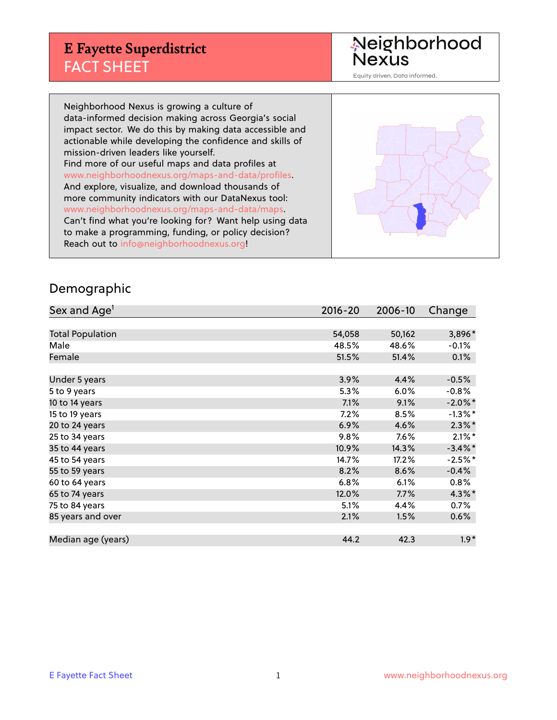## **E Fayette Superdistrict** FACT SHEET

Neighborhood<br>Nexus

Equity driven. Data informed.

Neighborhood Nexus is growing a culture of data-informed decision making across Georgia's social impact sector. We do this by making data accessible and actionable while developing the confidence and skills of mission-driven leaders like yourself. Find more of our useful maps and data profiles at www.neighborhoodnexus.org/maps-and-data/profiles. And explore, visualize, and download thousands of more community indicators with our DataNexus tool: www.neighborhoodnexus.org/maps-and-data/maps. Can't find what you're looking for? Want help using data to make a programming, funding, or policy decision? Reach out to [info@neighborhoodnexus.org!](mailto:info@neighborhoodnexus.org)



#### Demographic

| Sex and Age <sup>1</sup> | $2016 - 20$ | 2006-10 | Change     |
|--------------------------|-------------|---------|------------|
|                          |             |         |            |
| <b>Total Population</b>  | 54,058      | 50,162  | 3,896*     |
| Male                     | 48.5%       | 48.6%   | $-0.1\%$   |
| Female                   | 51.5%       | 51.4%   | 0.1%       |
|                          |             |         |            |
| Under 5 years            | 3.9%        | 4.4%    | $-0.5%$    |
| 5 to 9 years             | 5.3%        | 6.0%    | $-0.8%$    |
| 10 to 14 years           | 7.1%        | 9.1%    | $-2.0\%$ * |
| 15 to 19 years           | 7.2%        | 8.5%    | $-1.3\%$ * |
| 20 to 24 years           | 6.9%        | 4.6%    | $2.3\%$ *  |
| 25 to 34 years           | 9.8%        | 7.6%    | $2.1\%$ *  |
| 35 to 44 years           | 10.9%       | 14.3%   | $-3.4\%$ * |
| 45 to 54 years           | 14.7%       | 17.2%   | $-2.5%$ *  |
| 55 to 59 years           | 8.2%        | 8.6%    | $-0.4%$    |
| 60 to 64 years           | 6.8%        | 6.1%    | 0.8%       |
| 65 to 74 years           | 12.0%       | 7.7%    | $4.3\%$ *  |
| 75 to 84 years           | 5.1%        | 4.4%    | 0.7%       |
| 85 years and over        | 2.1%        | 1.5%    | 0.6%       |
|                          |             |         |            |
| Median age (years)       | 44.2        | 42.3    | $1.9*$     |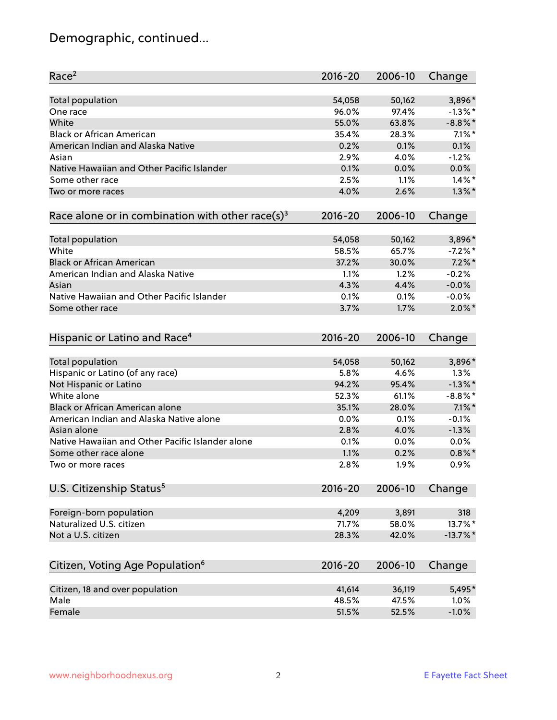# Demographic, continued...

| Race <sup>2</sup>                                            | $2016 - 20$ | 2006-10 | Change      |
|--------------------------------------------------------------|-------------|---------|-------------|
| <b>Total population</b>                                      | 54,058      | 50,162  | 3,896*      |
| One race                                                     | 96.0%       | 97.4%   | $-1.3\%$ *  |
| White                                                        | 55.0%       | 63.8%   | $-8.8\%$ *  |
| <b>Black or African American</b>                             | 35.4%       | 28.3%   | $7.1\%$ *   |
| American Indian and Alaska Native                            | 0.2%        | 0.1%    | 0.1%        |
| Asian                                                        | 2.9%        | 4.0%    | $-1.2%$     |
| Native Hawaiian and Other Pacific Islander                   | 0.1%        | 0.0%    | 0.0%        |
| Some other race                                              | 2.5%        | 1.1%    | $1.4\%$ *   |
| Two or more races                                            | 4.0%        | 2.6%    | $1.3\%$ *   |
| Race alone or in combination with other race(s) <sup>3</sup> | $2016 - 20$ | 2006-10 | Change      |
|                                                              |             |         |             |
| Total population                                             | 54,058      | 50,162  | 3,896*      |
| White                                                        | 58.5%       | 65.7%   | $-7.2%$ *   |
| <b>Black or African American</b>                             | 37.2%       | 30.0%   | $7.2\%$ *   |
| American Indian and Alaska Native                            | 1.1%        | 1.2%    | $-0.2%$     |
| Asian                                                        | 4.3%        | 4.4%    | $-0.0%$     |
| Native Hawaiian and Other Pacific Islander                   | 0.1%        | 0.1%    | $-0.0%$     |
| Some other race                                              | 3.7%        | 1.7%    | $2.0\%$ *   |
|                                                              |             |         |             |
| Hispanic or Latino and Race <sup>4</sup>                     | $2016 - 20$ | 2006-10 | Change      |
| <b>Total population</b>                                      | 54,058      | 50,162  | 3,896*      |
| Hispanic or Latino (of any race)                             | 5.8%        | 4.6%    | 1.3%        |
| Not Hispanic or Latino                                       | 94.2%       | 95.4%   | $-1.3\%$ *  |
| White alone                                                  | 52.3%       | 61.1%   | $-8.8\%$ *  |
| Black or African American alone                              | 35.1%       | 28.0%   | $7.1\%$ *   |
| American Indian and Alaska Native alone                      | 0.0%        | 0.1%    | $-0.1%$     |
| Asian alone                                                  | 2.8%        | 4.0%    | $-1.3%$     |
| Native Hawaiian and Other Pacific Islander alone             | 0.1%        | 0.0%    | 0.0%        |
| Some other race alone                                        | 1.1%        | 0.2%    | $0.8\%$ *   |
| Two or more races                                            | 2.8%        | 1.9%    | 0.9%        |
|                                                              |             |         |             |
| U.S. Citizenship Status <sup>5</sup>                         | $2016 - 20$ | 2006-10 | Change      |
| Foreign-born population                                      | 4,209       | 3,891   | 318         |
| Naturalized U.S. citizen                                     | 71.7%       | 58.0%   | 13.7%*      |
| Not a U.S. citizen                                           | 28.3%       | 42.0%   | $-13.7\%$ * |
|                                                              |             |         |             |
| Citizen, Voting Age Population <sup>6</sup>                  | $2016 - 20$ | 2006-10 | Change      |
| Citizen, 18 and over population                              | 41,614      | 36,119  | 5,495*      |
| Male                                                         | 48.5%       | 47.5%   | 1.0%        |
| Female                                                       | 51.5%       | 52.5%   | $-1.0%$     |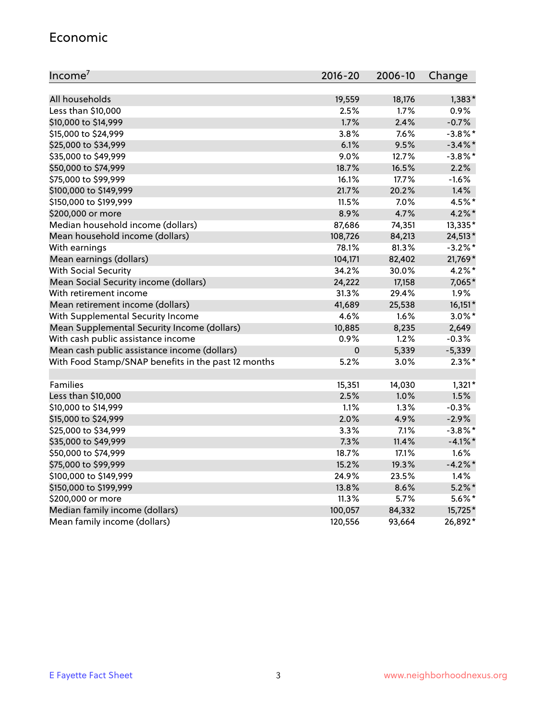#### Economic

| Income <sup>7</sup>                                 | $2016 - 20$ | 2006-10 | Change     |
|-----------------------------------------------------|-------------|---------|------------|
|                                                     |             |         |            |
| All households                                      | 19,559      | 18,176  | $1,383*$   |
| Less than \$10,000                                  | 2.5%        | 1.7%    | 0.9%       |
| \$10,000 to \$14,999                                | 1.7%        | 2.4%    | $-0.7%$    |
| \$15,000 to \$24,999                                | 3.8%        | 7.6%    | $-3.8\%$ * |
| \$25,000 to \$34,999                                | 6.1%        | 9.5%    | $-3.4\%$ * |
| \$35,000 to \$49,999                                | 9.0%        | 12.7%   | $-3.8\%$ * |
| \$50,000 to \$74,999                                | 18.7%       | 16.5%   | 2.2%       |
| \$75,000 to \$99,999                                | 16.1%       | 17.7%   | $-1.6%$    |
| \$100,000 to \$149,999                              | 21.7%       | 20.2%   | 1.4%       |
| \$150,000 to \$199,999                              | 11.5%       | 7.0%    | 4.5%*      |
| \$200,000 or more                                   | 8.9%        | 4.7%    | $4.2\%$ *  |
| Median household income (dollars)                   | 87,686      | 74,351  | 13,335*    |
| Mean household income (dollars)                     | 108,726     | 84,213  | 24,513*    |
| With earnings                                       | 78.1%       | 81.3%   | $-3.2\%$ * |
| Mean earnings (dollars)                             | 104,171     | 82,402  | 21,769*    |
| <b>With Social Security</b>                         | 34.2%       | 30.0%   | 4.2%*      |
| Mean Social Security income (dollars)               | 24,222      | 17,158  | 7,065*     |
| With retirement income                              | 31.3%       | 29.4%   | 1.9%       |
| Mean retirement income (dollars)                    | 41,689      | 25,538  | $16,151*$  |
| With Supplemental Security Income                   | 4.6%        | 1.6%    | $3.0\%$ *  |
| Mean Supplemental Security Income (dollars)         | 10,885      | 8,235   | 2,649      |
| With cash public assistance income                  | 0.9%        | 1.2%    | $-0.3%$    |
| Mean cash public assistance income (dollars)        | $\pmb{0}$   | 5,339   | $-5,339$   |
| With Food Stamp/SNAP benefits in the past 12 months | 5.2%        | 3.0%    | $2.3\%$ *  |
|                                                     |             |         |            |
| Families                                            | 15,351      | 14,030  | $1,321*$   |
| Less than \$10,000                                  | 2.5%        | 1.0%    | 1.5%       |
| \$10,000 to \$14,999                                | 1.1%        | 1.3%    | $-0.3%$    |
| \$15,000 to \$24,999                                | 2.0%        | 4.9%    | $-2.9%$    |
| \$25,000 to \$34,999                                | 3.3%        | 7.1%    | $-3.8\%$ * |
| \$35,000 to \$49,999                                | 7.3%        | 11.4%   | $-4.1\%$ * |
| \$50,000 to \$74,999                                | 18.7%       | 17.1%   | 1.6%       |
| \$75,000 to \$99,999                                | 15.2%       | 19.3%   | $-4.2%$    |
| \$100,000 to \$149,999                              | 24.9%       | 23.5%   | 1.4%       |
| \$150,000 to \$199,999                              | 13.8%       | 8.6%    | $5.2\%$ *  |
| \$200,000 or more                                   | 11.3%       | 5.7%    | $5.6\%$ *  |
| Median family income (dollars)                      | 100,057     | 84,332  | 15,725*    |
| Mean family income (dollars)                        | 120,556     | 93,664  | 26,892*    |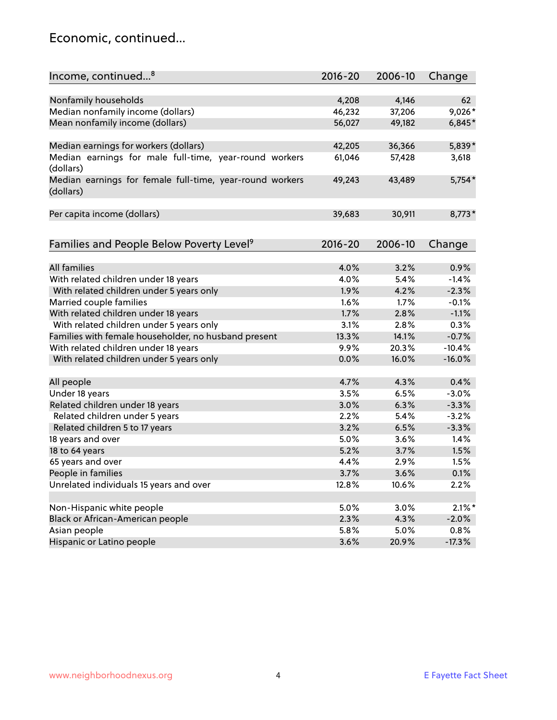#### Economic, continued...

| Income, continued <sup>8</sup>                                        | $2016 - 20$ | 2006-10 | Change    |
|-----------------------------------------------------------------------|-------------|---------|-----------|
|                                                                       |             |         |           |
| Nonfamily households                                                  | 4,208       | 4,146   | 62        |
| Median nonfamily income (dollars)                                     | 46,232      | 37,206  | 9,026*    |
| Mean nonfamily income (dollars)                                       | 56,027      | 49,182  | $6,845*$  |
| Median earnings for workers (dollars)                                 | 42,205      | 36,366  | 5,839*    |
| Median earnings for male full-time, year-round workers                | 61,046      | 57,428  | 3,618     |
| (dollars)                                                             |             |         |           |
| Median earnings for female full-time, year-round workers<br>(dollars) | 49,243      | 43,489  | $5,754*$  |
| Per capita income (dollars)                                           | 39,683      | 30,911  | $8,773*$  |
|                                                                       |             |         |           |
| Families and People Below Poverty Level <sup>9</sup>                  | $2016 - 20$ | 2006-10 | Change    |
|                                                                       |             |         |           |
| <b>All families</b>                                                   | 4.0%        | 3.2%    | 0.9%      |
| With related children under 18 years                                  | 4.0%        | 5.4%    | $-1.4%$   |
| With related children under 5 years only                              | 1.9%        | 4.2%    | $-2.3%$   |
| Married couple families                                               | 1.6%        | 1.7%    | $-0.1%$   |
| With related children under 18 years                                  | 1.7%        | 2.8%    | $-1.1%$   |
| With related children under 5 years only                              | 3.1%        | 2.8%    | 0.3%      |
| Families with female householder, no husband present                  | 13.3%       | 14.1%   | $-0.7%$   |
| With related children under 18 years                                  | 9.9%        | 20.3%   | $-10.4%$  |
| With related children under 5 years only                              | 0.0%        | 16.0%   | $-16.0%$  |
| All people                                                            | 4.7%        | 4.3%    | 0.4%      |
| Under 18 years                                                        | 3.5%        | 6.5%    | $-3.0%$   |
| Related children under 18 years                                       | 3.0%        | 6.3%    | $-3.3%$   |
| Related children under 5 years                                        | 2.2%        | 5.4%    | $-3.2%$   |
| Related children 5 to 17 years                                        | 3.2%        | 6.5%    | $-3.3%$   |
| 18 years and over                                                     | 5.0%        | 3.6%    | 1.4%      |
| 18 to 64 years                                                        | 5.2%        | 3.7%    | 1.5%      |
| 65 years and over                                                     | 4.4%        | 2.9%    | 1.5%      |
| People in families                                                    | 3.7%        | 3.6%    | 0.1%      |
| Unrelated individuals 15 years and over                               | 12.8%       | 10.6%   | 2.2%      |
|                                                                       |             |         |           |
| Non-Hispanic white people                                             | 5.0%        | 3.0%    | $2.1\%$ * |
| Black or African-American people                                      | 2.3%        | 4.3%    | $-2.0%$   |
| Asian people                                                          | 5.8%        | 5.0%    | 0.8%      |
| Hispanic or Latino people                                             | 3.6%        | 20.9%   | $-17.3%$  |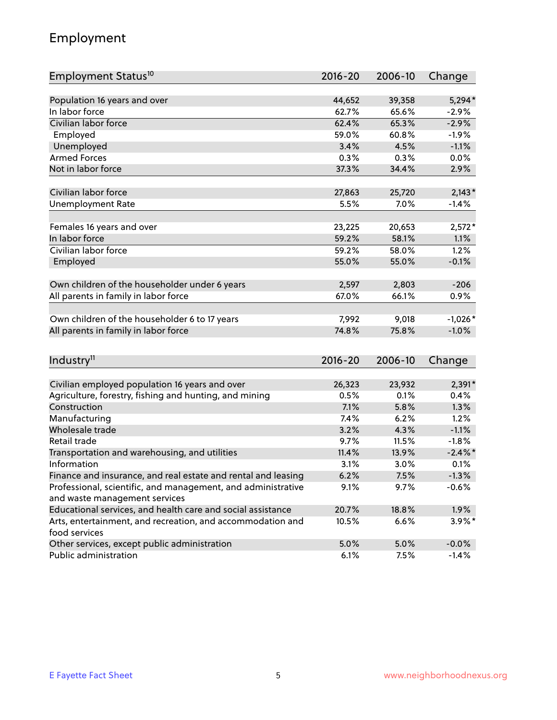## Employment

| Employment Status <sup>10</sup>                               | $2016 - 20$ | 2006-10 | Change     |
|---------------------------------------------------------------|-------------|---------|------------|
|                                                               |             |         |            |
| Population 16 years and over                                  | 44,652      | 39,358  | $5,294*$   |
| In labor force                                                | 62.7%       | 65.6%   | $-2.9%$    |
| Civilian labor force                                          | 62.4%       | 65.3%   | $-2.9%$    |
| Employed                                                      | 59.0%       | 60.8%   | $-1.9%$    |
| Unemployed                                                    | 3.4%        | 4.5%    | $-1.1%$    |
| <b>Armed Forces</b>                                           | 0.3%        | 0.3%    | 0.0%       |
| Not in labor force                                            | 37.3%       | 34.4%   | 2.9%       |
| Civilian labor force                                          |             |         |            |
|                                                               | 27,863      | 25,720  | $2,143*$   |
| <b>Unemployment Rate</b>                                      | 5.5%        | 7.0%    | $-1.4%$    |
| Females 16 years and over                                     | 23,225      | 20,653  | $2,572*$   |
| In labor force                                                | 59.2%       | 58.1%   | 1.1%       |
| Civilian labor force                                          | 59.2%       | 58.0%   | 1.2%       |
| Employed                                                      | 55.0%       | 55.0%   | $-0.1%$    |
|                                                               |             |         |            |
| Own children of the householder under 6 years                 | 2,597       | 2,803   | $-206$     |
| All parents in family in labor force                          | 67.0%       | 66.1%   | 0.9%       |
|                                                               |             |         |            |
| Own children of the householder 6 to 17 years                 | 7,992       | 9,018   | $-1,026*$  |
| All parents in family in labor force                          | 74.8%       | 75.8%   | $-1.0%$    |
|                                                               |             |         |            |
| Industry <sup>11</sup>                                        | 2016-20     | 2006-10 | Change     |
| Civilian employed population 16 years and over                | 26,323      | 23,932  | 2,391*     |
| Agriculture, forestry, fishing and hunting, and mining        | 0.5%        | 0.1%    | 0.4%       |
| Construction                                                  | 7.1%        | 5.8%    | 1.3%       |
| Manufacturing                                                 | 7.4%        | 6.2%    | 1.2%       |
| Wholesale trade                                               | 3.2%        | 4.3%    | $-1.1%$    |
| Retail trade                                                  | 9.7%        | 11.5%   | $-1.8%$    |
| Transportation and warehousing, and utilities                 | 11.4%       | 13.9%   | $-2.4\%$ * |
| Information                                                   | 3.1%        | 3.0%    | 0.1%       |
| Finance and insurance, and real estate and rental and leasing | 6.2%        | 7.5%    | $-1.3%$    |
| Professional, scientific, and management, and administrative  | 9.1%        | 9.7%    | $-0.6%$    |
| and waste management services                                 |             |         |            |
| Educational services, and health care and social assistance   | 20.7%       | 18.8%   | 1.9%       |
| Arts, entertainment, and recreation, and accommodation and    | 10.5%       | 6.6%    | $3.9\%$ *  |
| food services                                                 |             |         |            |
| Other services, except public administration                  | 5.0%        | 5.0%    | $-0.0%$    |
| Public administration                                         | 6.1%        | 7.5%    | $-1.4%$    |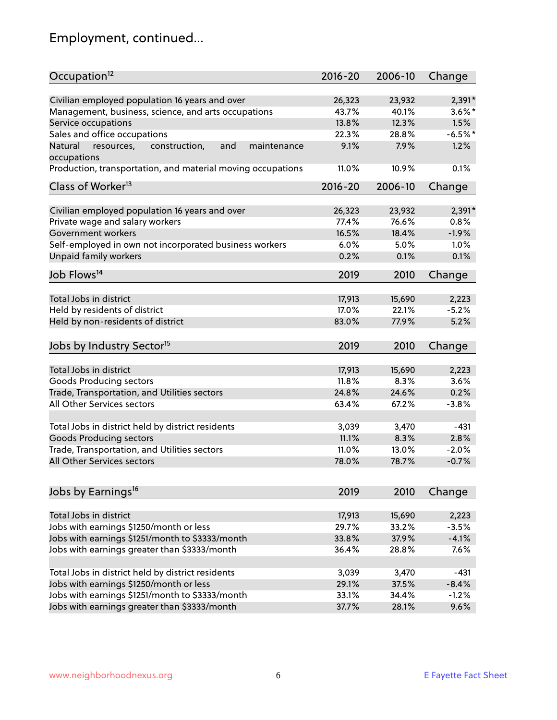# Employment, continued...

| Occupation <sup>12</sup>                                                    | $2016 - 20$ | 2006-10 | Change    |
|-----------------------------------------------------------------------------|-------------|---------|-----------|
| Civilian employed population 16 years and over                              | 26,323      | 23,932  | $2,391*$  |
| Management, business, science, and arts occupations                         | 43.7%       | 40.1%   | $3.6\%$ * |
| Service occupations                                                         | 13.8%       | 12.3%   | 1.5%      |
| Sales and office occupations                                                | 22.3%       | 28.8%   | $-6.5%$ * |
|                                                                             | 9.1%        |         | 1.2%      |
| Natural<br>and<br>resources,<br>construction,<br>maintenance<br>occupations |             | 7.9%    |           |
| Production, transportation, and material moving occupations                 | 11.0%       | 10.9%   | 0.1%      |
| Class of Worker <sup>13</sup>                                               | $2016 - 20$ | 2006-10 | Change    |
|                                                                             |             |         |           |
| Civilian employed population 16 years and over                              | 26,323      | 23,932  | $2,391*$  |
| Private wage and salary workers                                             | 77.4%       | 76.6%   | 0.8%      |
| Government workers                                                          | 16.5%       | 18.4%   | $-1.9%$   |
| Self-employed in own not incorporated business workers                      | 6.0%        | 5.0%    | 1.0%      |
| Unpaid family workers                                                       | 0.2%        | 0.1%    | 0.1%      |
| Job Flows <sup>14</sup>                                                     | 2019        | 2010    | Change    |
|                                                                             |             |         |           |
| Total Jobs in district                                                      | 17,913      | 15,690  | 2,223     |
| Held by residents of district                                               | 17.0%       | 22.1%   | $-5.2%$   |
| Held by non-residents of district                                           | 83.0%       | 77.9%   | 5.2%      |
| Jobs by Industry Sector <sup>15</sup>                                       | 2019        | 2010    | Change    |
|                                                                             |             |         |           |
| Total Jobs in district                                                      | 17,913      | 15,690  | 2,223     |
| Goods Producing sectors                                                     | 11.8%       | 8.3%    | 3.6%      |
| Trade, Transportation, and Utilities sectors                                | 24.8%       | 24.6%   | 0.2%      |
| All Other Services sectors                                                  | 63.4%       | 67.2%   | $-3.8%$   |
|                                                                             |             |         |           |
| Total Jobs in district held by district residents                           | 3,039       | 3,470   | $-431$    |
| <b>Goods Producing sectors</b>                                              | 11.1%       | 8.3%    | 2.8%      |
| Trade, Transportation, and Utilities sectors                                | 11.0%       | 13.0%   | $-2.0%$   |
| All Other Services sectors                                                  | 78.0%       | 78.7%   | $-0.7%$   |
|                                                                             |             |         |           |
| Jobs by Earnings <sup>16</sup>                                              | 2019        | 2010    | Change    |
|                                                                             |             |         |           |
| Total Jobs in district                                                      | 17,913      | 15,690  | 2,223     |
| Jobs with earnings \$1250/month or less                                     | 29.7%       | 33.2%   | $-3.5%$   |
| Jobs with earnings \$1251/month to \$3333/month                             | 33.8%       | 37.9%   | $-4.1%$   |
| Jobs with earnings greater than \$3333/month                                | 36.4%       | 28.8%   | 7.6%      |
| Total Jobs in district held by district residents                           | 3,039       | 3,470   | $-431$    |
| Jobs with earnings \$1250/month or less                                     | 29.1%       | 37.5%   | $-8.4%$   |
| Jobs with earnings \$1251/month to \$3333/month                             | 33.1%       | 34.4%   | $-1.2%$   |
| Jobs with earnings greater than \$3333/month                                | 37.7%       | 28.1%   | 9.6%      |
|                                                                             |             |         |           |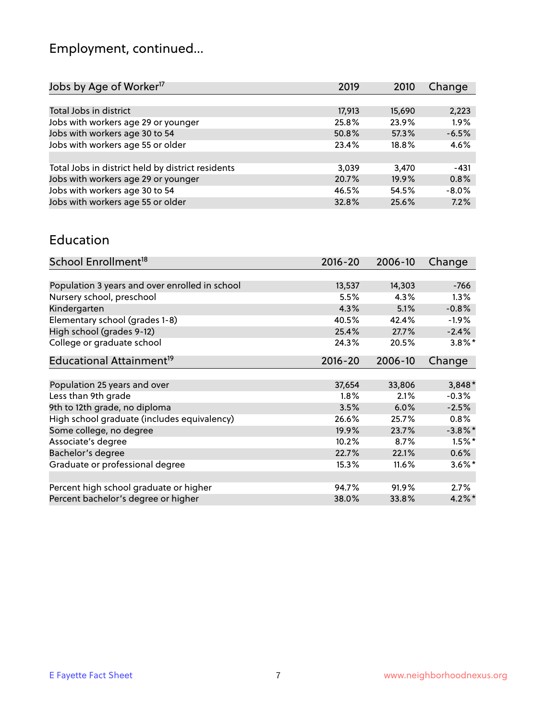# Employment, continued...

| Jobs by Age of Worker <sup>17</sup>               | 2019   | 2010   | Change  |
|---------------------------------------------------|--------|--------|---------|
|                                                   |        |        |         |
| Total Jobs in district                            | 17,913 | 15,690 | 2,223   |
| Jobs with workers age 29 or younger               | 25.8%  | 23.9%  | 1.9%    |
| Jobs with workers age 30 to 54                    | 50.8%  | 57.3%  | $-6.5%$ |
| Jobs with workers age 55 or older                 | 23.4%  | 18.8%  | 4.6%    |
|                                                   |        |        |         |
| Total Jobs in district held by district residents | 3.039  | 3.470  | -431    |
| Jobs with workers age 29 or younger               | 20.7%  | 19.9%  | 0.8%    |
| Jobs with workers age 30 to 54                    | 46.5%  | 54.5%  | $-8.0%$ |
| Jobs with workers age 55 or older                 | 32.8%  | 25.6%  | 7.2%    |
|                                                   |        |        |         |

#### Education

| School Enrollment <sup>18</sup>                | $2016 - 20$ | 2006-10 | Change     |
|------------------------------------------------|-------------|---------|------------|
|                                                |             |         |            |
| Population 3 years and over enrolled in school | 13,537      | 14,303  | $-766$     |
| Nursery school, preschool                      | 5.5%        | 4.3%    | 1.3%       |
| Kindergarten                                   | 4.3%        | 5.1%    | $-0.8%$    |
| Elementary school (grades 1-8)                 | 40.5%       | 42.4%   | $-1.9\%$   |
| High school (grades 9-12)                      | 25.4%       | 27.7%   | $-2.4%$    |
| College or graduate school                     | 24.3%       | 20.5%   | $3.8\%$ *  |
| Educational Attainment <sup>19</sup>           | $2016 - 20$ | 2006-10 | Change     |
|                                                |             |         |            |
| Population 25 years and over                   | 37,654      | 33,806  | $3,848*$   |
| Less than 9th grade                            | 1.8%        | 2.1%    | $-0.3%$    |
| 9th to 12th grade, no diploma                  | 3.5%        | 6.0%    | $-2.5%$    |
| High school graduate (includes equivalency)    | 26.6%       | 25.7%   | 0.8%       |
| Some college, no degree                        | 19.9%       | 23.7%   | $-3.8\%$ * |
| Associate's degree                             | 10.2%       | 8.7%    | $1.5%$ *   |
| Bachelor's degree                              | 22.7%       | 22.1%   | 0.6%       |
| Graduate or professional degree                | 15.3%       | 11.6%   | $3.6\%$ *  |
|                                                |             |         |            |
| Percent high school graduate or higher         | 94.7%       | 91.9%   | $2.7\%$    |
| Percent bachelor's degree or higher            | 38.0%       | 33.8%   | $4.2\%$ *  |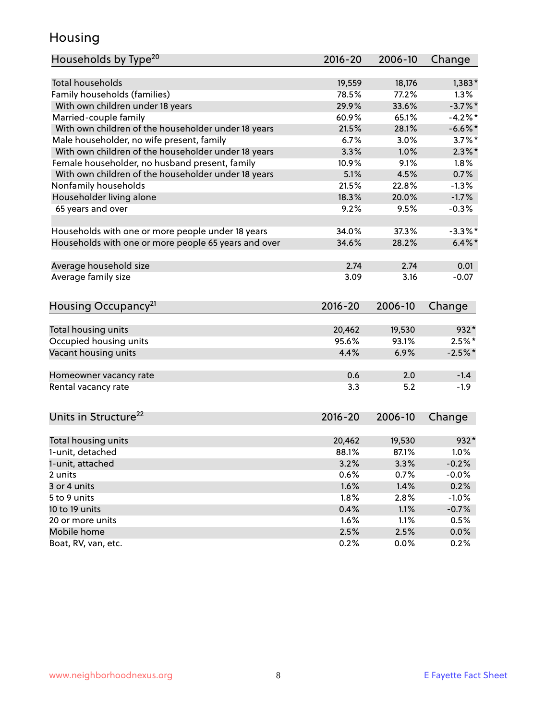## Housing

| Households by Type <sup>20</sup>                     | 2016-20     | 2006-10 | Change     |
|------------------------------------------------------|-------------|---------|------------|
|                                                      |             |         |            |
| <b>Total households</b>                              | 19,559      | 18,176  | $1,383*$   |
| Family households (families)                         | 78.5%       | 77.2%   | 1.3%       |
| With own children under 18 years                     | 29.9%       | 33.6%   | $-3.7\%$ * |
| Married-couple family                                | 60.9%       | 65.1%   | $-4.2%$    |
| With own children of the householder under 18 years  | 21.5%       | 28.1%   | $-6.6%$    |
| Male householder, no wife present, family            | 6.7%        | 3.0%    | $3.7\%$ *  |
| With own children of the householder under 18 years  | 3.3%        | 1.0%    | $2.3\%$ *  |
| Female householder, no husband present, family       | 10.9%       | 9.1%    | 1.8%       |
| With own children of the householder under 18 years  | 5.1%        | 4.5%    | 0.7%       |
| Nonfamily households                                 | 21.5%       | 22.8%   | $-1.3%$    |
| Householder living alone                             | 18.3%       | 20.0%   | $-1.7%$    |
| 65 years and over                                    | 9.2%        | 9.5%    | $-0.3%$    |
| Households with one or more people under 18 years    | 34.0%       | 37.3%   | $-3.3\%$ * |
| Households with one or more people 65 years and over | 34.6%       | 28.2%   | $6.4\%$ *  |
| Average household size                               | 2.74        | 2.74    | 0.01       |
| Average family size                                  | 3.09        | 3.16    | $-0.07$    |
|                                                      |             |         |            |
| Housing Occupancy <sup>21</sup>                      | $2016 - 20$ | 2006-10 | Change     |
| Total housing units                                  | 20,462      | 19,530  | $932*$     |
| Occupied housing units                               | 95.6%       | 93.1%   | $2.5%$ *   |
| Vacant housing units                                 | 4.4%        | 6.9%    | $-2.5%$ *  |
|                                                      |             |         |            |
| Homeowner vacancy rate                               | 0.6         | 2.0     | $-1.4$     |
| Rental vacancy rate                                  | 3.3         | 5.2     | $-1.9$     |
|                                                      |             |         |            |
| Units in Structure <sup>22</sup>                     | 2016-20     | 2006-10 | Change     |
| Total housing units                                  | 20,462      | 19,530  | $932*$     |
| 1-unit, detached                                     | 88.1%       | 87.1%   | 1.0%       |
| 1-unit, attached                                     | 3.2%        | 3.3%    | $-0.2%$    |
| 2 units                                              | 0.6%        | 0.7%    | $-0.0%$    |
| 3 or 4 units                                         | 1.6%        | 1.4%    | 0.2%       |
| 5 to 9 units                                         | 1.8%        | 2.8%    | $-1.0%$    |
| 10 to 19 units                                       | 0.4%        | 1.1%    | $-0.7%$    |
| 20 or more units                                     | 1.6%        | 1.1%    | 0.5%       |
| Mobile home                                          | 2.5%        | 2.5%    | $0.0\%$    |
| Boat, RV, van, etc.                                  | 0.2%        | $0.0\%$ | 0.2%       |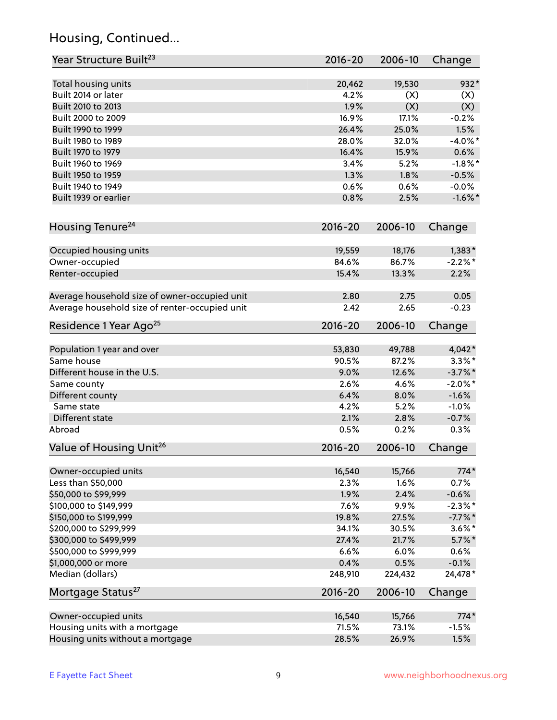## Housing, Continued...

| Year Structure Built <sup>23</sup>             | 2016-20     | 2006-10 | Change     |
|------------------------------------------------|-------------|---------|------------|
| Total housing units                            | 20,462      | 19,530  | $932*$     |
| Built 2014 or later                            | 4.2%        | (X)     | (X)        |
| Built 2010 to 2013                             | 1.9%        | (X)     | (X)        |
| Built 2000 to 2009                             | 16.9%       | 17.1%   | $-0.2%$    |
| Built 1990 to 1999                             | 26.4%       | 25.0%   | 1.5%       |
| Built 1980 to 1989                             | 28.0%       | 32.0%   | $-4.0\%$ * |
| Built 1970 to 1979                             | 16.4%       | 15.9%   | 0.6%       |
| Built 1960 to 1969                             | 3.4%        | 5.2%    | $-1.8\%$ * |
| Built 1950 to 1959                             | 1.3%        | 1.8%    | $-0.5%$    |
| Built 1940 to 1949                             | 0.6%        | 0.6%    | $-0.0%$    |
| Built 1939 or earlier                          | 0.8%        | 2.5%    | $-1.6\%$ * |
|                                                |             |         |            |
| Housing Tenure <sup>24</sup>                   | $2016 - 20$ | 2006-10 | Change     |
| Occupied housing units                         | 19,559      | 18,176  | $1,383*$   |
| Owner-occupied                                 | 84.6%       | 86.7%   | $-2.2\%$ * |
| Renter-occupied                                | 15.4%       | 13.3%   | 2.2%       |
|                                                |             |         |            |
| Average household size of owner-occupied unit  | 2.80        | 2.75    | 0.05       |
| Average household size of renter-occupied unit | 2.42        | 2.65    | $-0.23$    |
| Residence 1 Year Ago <sup>25</sup>             | $2016 - 20$ | 2006-10 | Change     |
|                                                |             |         |            |
| Population 1 year and over                     | 53,830      | 49,788  | $4,042*$   |
| Same house                                     | 90.5%       | 87.2%   | $3.3\%$ *  |
| Different house in the U.S.                    | 9.0%        | 12.6%   | $-3.7\%$ * |
| Same county                                    | 2.6%        | 4.6%    | $-2.0\%$ * |
| Different county                               | 6.4%        | 8.0%    | $-1.6%$    |
| Same state                                     | 4.2%        | 5.2%    | $-1.0%$    |
| Different state                                | 2.1%        | 2.8%    | $-0.7%$    |
| Abroad                                         | 0.5%        | 0.2%    | 0.3%       |
| Value of Housing Unit <sup>26</sup>            | 2016-20     | 2006-10 | Change     |
|                                                |             |         |            |
| Owner-occupied units                           | 16,540      | 15,766  | $774*$     |
| Less than \$50,000                             | 2.3%        | 1.6%    | 0.7%       |
| \$50,000 to \$99,999                           | 1.9%        | 2.4%    | $-0.6%$    |
| \$100,000 to \$149,999                         | 7.6%        | 9.9%    | $-2.3\%$ * |
| \$150,000 to \$199,999                         | 19.8%       | 27.5%   | $-7.7\%$ * |
| \$200,000 to \$299,999                         | 34.1%       | 30.5%   | $3.6\%$ *  |
| \$300,000 to \$499,999                         | 27.4%       | 21.7%   | $5.7\%$ *  |
| \$500,000 to \$999,999                         | 6.6%        | 6.0%    | 0.6%       |
| \$1,000,000 or more                            | 0.4%        | 0.5%    | $-0.1%$    |
| Median (dollars)                               | 248,910     | 224,432 | 24,478*    |
| Mortgage Status <sup>27</sup>                  | $2016 - 20$ | 2006-10 | Change     |
| Owner-occupied units                           | 16,540      | 15,766  | $774*$     |
| Housing units with a mortgage                  | 71.5%       | 73.1%   | $-1.5%$    |
| Housing units without a mortgage               | 28.5%       | 26.9%   | 1.5%       |
|                                                |             |         |            |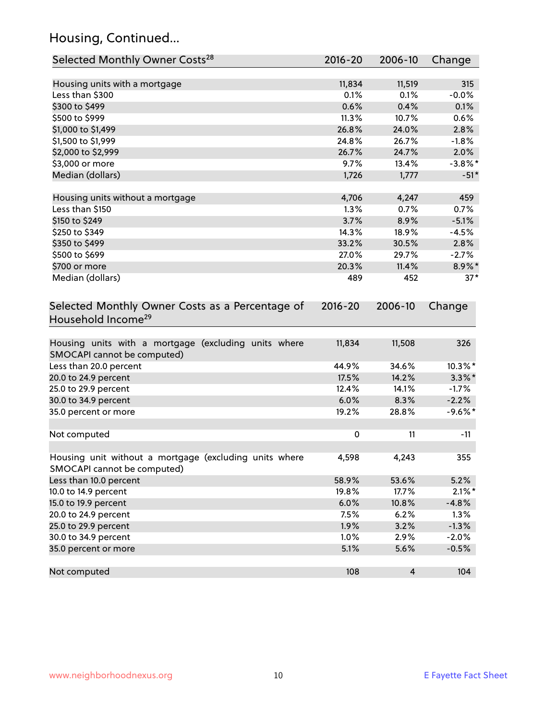## Housing, Continued...

| Selected Monthly Owner Costs <sup>28</sup>                                            | 2016-20 | 2006-10        | Change     |
|---------------------------------------------------------------------------------------|---------|----------------|------------|
| Housing units with a mortgage                                                         | 11,834  | 11,519         | 315        |
| Less than \$300                                                                       | 0.1%    | 0.1%           | $-0.0%$    |
| \$300 to \$499                                                                        | 0.6%    | 0.4%           | 0.1%       |
| \$500 to \$999                                                                        | 11.3%   | 10.7%          | 0.6%       |
| \$1,000 to \$1,499                                                                    | 26.8%   | 24.0%          | 2.8%       |
| \$1,500 to \$1,999                                                                    | 24.8%   | 26.7%          | $-1.8%$    |
| \$2,000 to \$2,999                                                                    | 26.7%   | 24.7%          | 2.0%       |
| \$3,000 or more                                                                       | 9.7%    | 13.4%          | $-3.8\%$ * |
| Median (dollars)                                                                      | 1,726   | 1,777          | $-51*$     |
| Housing units without a mortgage                                                      | 4,706   | 4,247          | 459        |
| Less than \$150                                                                       | 1.3%    | 0.7%           | 0.7%       |
| \$150 to \$249                                                                        | 3.7%    | 8.9%           | $-5.1%$    |
| \$250 to \$349                                                                        | 14.3%   | 18.9%          | $-4.5%$    |
| \$350 to \$499                                                                        | 33.2%   | 30.5%          | 2.8%       |
| \$500 to \$699                                                                        | 27.0%   | 29.7%          | $-2.7%$    |
| \$700 or more                                                                         | 20.3%   | 11.4%          | 8.9%*      |
| Median (dollars)                                                                      | 489     | 452            | $37*$      |
| Household Income <sup>29</sup>                                                        |         |                |            |
| Housing units with a mortgage (excluding units where<br>SMOCAPI cannot be computed)   | 11,834  | 11,508         | 326        |
| Less than 20.0 percent                                                                | 44.9%   | 34.6%          | 10.3%*     |
| 20.0 to 24.9 percent                                                                  | 17.5%   | 14.2%          | $3.3\%$ *  |
| 25.0 to 29.9 percent                                                                  | 12.4%   | 14.1%          | $-1.7%$    |
| 30.0 to 34.9 percent                                                                  | 6.0%    | 8.3%           | $-2.2%$    |
| 35.0 percent or more                                                                  | 19.2%   | 28.8%          | $-9.6%$ *  |
| Not computed                                                                          | 0       | 11             | $-11$      |
| Housing unit without a mortgage (excluding units where<br>SMOCAPI cannot be computed) | 4,598   | 4,243          | 355        |
| Less than 10.0 percent                                                                | 58.9%   | 53.6%          | 5.2%       |
| 10.0 to 14.9 percent                                                                  | 19.8%   | 17.7%          | $2.1\%$ *  |
| 15.0 to 19.9 percent                                                                  | 6.0%    | 10.8%          | $-4.8%$    |
| 20.0 to 24.9 percent                                                                  | 7.5%    | 6.2%           | 1.3%       |
| 25.0 to 29.9 percent                                                                  | 1.9%    | 3.2%           | $-1.3%$    |
| 30.0 to 34.9 percent                                                                  | 1.0%    | 2.9%           | $-2.0%$    |
| 35.0 percent or more                                                                  | 5.1%    | 5.6%           | $-0.5%$    |
| Not computed                                                                          | 108     | $\overline{4}$ | 104        |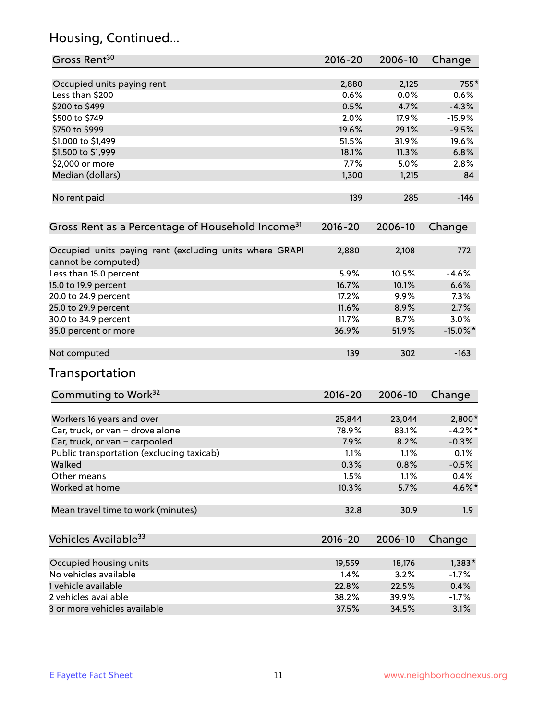## Housing, Continued...

| Gross Rent <sup>30</sup>                                                       | $2016 - 20$ | 2006-10 | Change      |
|--------------------------------------------------------------------------------|-------------|---------|-------------|
| Occupied units paying rent                                                     | 2,880       | 2,125   | $755*$      |
| Less than \$200                                                                | 0.6%        | 0.0%    | 0.6%        |
| \$200 to \$499                                                                 | 0.5%        | 4.7%    | $-4.3%$     |
| \$500 to \$749                                                                 | 2.0%        | 17.9%   | $-15.9%$    |
| \$750 to \$999                                                                 | 19.6%       | 29.1%   | $-9.5%$     |
| \$1,000 to \$1,499                                                             | 51.5%       | 31.9%   | 19.6%       |
| \$1,500 to \$1,999                                                             | 18.1%       | 11.3%   | 6.8%        |
| \$2,000 or more                                                                | 7.7%        | 5.0%    | 2.8%        |
| Median (dollars)                                                               | 1,300       | 1,215   | 84          |
| No rent paid                                                                   | 139         | 285     | $-146$      |
| Gross Rent as a Percentage of Household Income <sup>31</sup>                   | $2016 - 20$ | 2006-10 | Change      |
|                                                                                |             |         |             |
| Occupied units paying rent (excluding units where GRAPI<br>cannot be computed) | 2,880       | 2,108   | 772         |
| Less than 15.0 percent                                                         | 5.9%        | 10.5%   | $-4.6%$     |
| 15.0 to 19.9 percent                                                           | 16.7%       | 10.1%   | 6.6%        |
| 20.0 to 24.9 percent                                                           | 17.2%       | 9.9%    | 7.3%        |
| 25.0 to 29.9 percent                                                           | 11.6%       | 8.9%    | 2.7%        |
| 30.0 to 34.9 percent                                                           | 11.7%       | 8.7%    | 3.0%        |
| 35.0 percent or more                                                           | 36.9%       | 51.9%   | $-15.0\%$ * |
| Not computed                                                                   | 139         | 302     | $-163$      |
| Transportation                                                                 |             |         |             |
| Commuting to Work <sup>32</sup>                                                | 2016-20     | 2006-10 | Change      |
| Workers 16 years and over                                                      | 25,844      | 23,044  | $2,800*$    |
| Car, truck, or van - drove alone                                               | 78.9%       | 83.1%   | $-4.2%$ *   |
| Car, truck, or van - carpooled                                                 | 7.9%        | 8.2%    | $-0.3%$     |
| Public transportation (excluding taxicab)                                      | 1.1%        | 1.1%    | 0.1%        |
| Walked                                                                         | 0.3%        | 0.8%    | $-0.5%$     |
| Other means                                                                    | 1.5%        | 1.1%    | 0.4%        |
| Worked at home                                                                 | 10.3%       | 5.7%    | 4.6%*       |
| Mean travel time to work (minutes)                                             | 32.8        | 30.9    | 1.9         |
| Vehicles Available <sup>33</sup>                                               | 2016-20     | 2006-10 | Change      |
| Occupied housing units                                                         | 19,559      | 18,176  | $1,383*$    |
| No vehicles available                                                          | 1.4%        | 3.2%    | $-1.7%$     |
| 1 vehicle available                                                            | 22.8%       | 22.5%   | 0.4%        |
| 2 vehicles available                                                           | 38.2%       | 39.9%   | $-1.7%$     |
| 3 or more vehicles available                                                   | 37.5%       | 34.5%   | 3.1%        |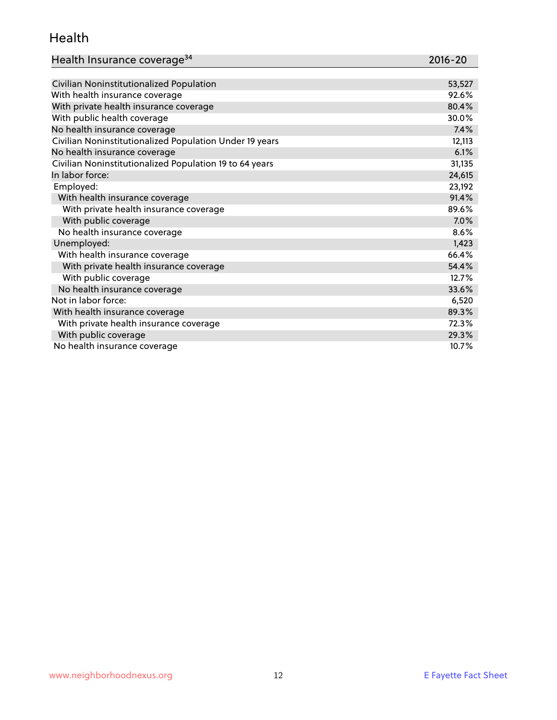#### Health

| Health Insurance coverage <sup>34</sup>                 | 2016-20 |
|---------------------------------------------------------|---------|
|                                                         |         |
| Civilian Noninstitutionalized Population                | 53,527  |
| With health insurance coverage                          | 92.6%   |
| With private health insurance coverage                  | 80.4%   |
| With public health coverage                             | 30.0%   |
| No health insurance coverage                            | 7.4%    |
| Civilian Noninstitutionalized Population Under 19 years | 12,113  |
| No health insurance coverage                            | 6.1%    |
| Civilian Noninstitutionalized Population 19 to 64 years | 31,135  |
| In labor force:                                         | 24,615  |
| Employed:                                               | 23,192  |
| With health insurance coverage                          | 91.4%   |
| With private health insurance coverage                  | 89.6%   |
| With public coverage                                    | 7.0%    |
| No health insurance coverage                            | 8.6%    |
| Unemployed:                                             | 1,423   |
| With health insurance coverage                          | 66.4%   |
| With private health insurance coverage                  | 54.4%   |
| With public coverage                                    | 12.7%   |
| No health insurance coverage                            | 33.6%   |
| Not in labor force:                                     | 6,520   |
| With health insurance coverage                          | 89.3%   |
| With private health insurance coverage                  | 72.3%   |
| With public coverage                                    | 29.3%   |
| No health insurance coverage                            | 10.7%   |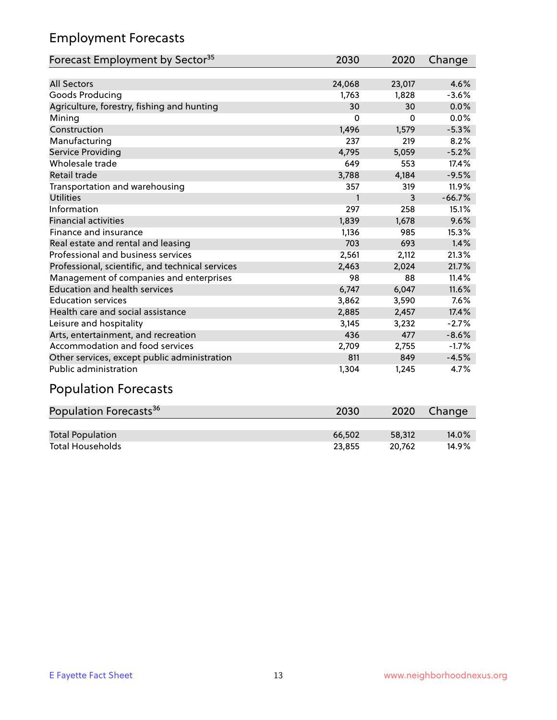## Employment Forecasts

| Forecast Employment by Sector <sup>35</sup>      | 2030         | 2020     | Change   |
|--------------------------------------------------|--------------|----------|----------|
|                                                  |              |          |          |
| <b>All Sectors</b>                               | 24,068       | 23,017   | 4.6%     |
| Goods Producing                                  | 1,763        | 1,828    | $-3.6%$  |
| Agriculture, forestry, fishing and hunting       | 30           | 30       | 0.0%     |
| Mining                                           | $\Omega$     | $\Omega$ | 0.0%     |
| Construction                                     | 1,496        | 1,579    | $-5.3%$  |
| Manufacturing                                    | 237          | 219      | 8.2%     |
| Service Providing                                | 4,795        | 5,059    | $-5.2%$  |
| Wholesale trade                                  | 649          | 553      | 17.4%    |
| <b>Retail trade</b>                              | 3,788        | 4,184    | $-9.5%$  |
| Transportation and warehousing                   | 357          | 319      | 11.9%    |
| <b>Utilities</b>                                 | $\mathbf{1}$ | 3        | $-66.7%$ |
| Information                                      | 297          | 258      | 15.1%    |
| <b>Financial activities</b>                      | 1,839        | 1,678    | 9.6%     |
| Finance and insurance                            | 1,136        | 985      | 15.3%    |
| Real estate and rental and leasing               | 703          | 693      | 1.4%     |
| Professional and business services               | 2,561        | 2,112    | 21.3%    |
| Professional, scientific, and technical services | 2,463        | 2,024    | 21.7%    |
| Management of companies and enterprises          | 98           | 88       | 11.4%    |
| <b>Education and health services</b>             | 6,747        | 6,047    | 11.6%    |
| <b>Education services</b>                        | 3,862        | 3,590    | 7.6%     |
| Health care and social assistance                | 2,885        | 2,457    | 17.4%    |
| Leisure and hospitality                          | 3,145        | 3,232    | $-2.7%$  |
| Arts, entertainment, and recreation              | 436          | 477      | $-8.6%$  |
| Accommodation and food services                  | 2,709        | 2,755    | $-1.7%$  |
| Other services, except public administration     | 811          | 849      | $-4.5%$  |
| <b>Public administration</b>                     | 1,304        | 1,245    | 4.7%     |

# Population Forecasts

| Population Forecasts <sup>36</sup> | 2030   | 2020   | Change   |
|------------------------------------|--------|--------|----------|
|                                    |        |        |          |
| <b>Total Population</b>            | 66.502 | 58.312 | $14.0\%$ |
| <b>Total Households</b>            | 23.855 | 20.762 | 14.9%    |